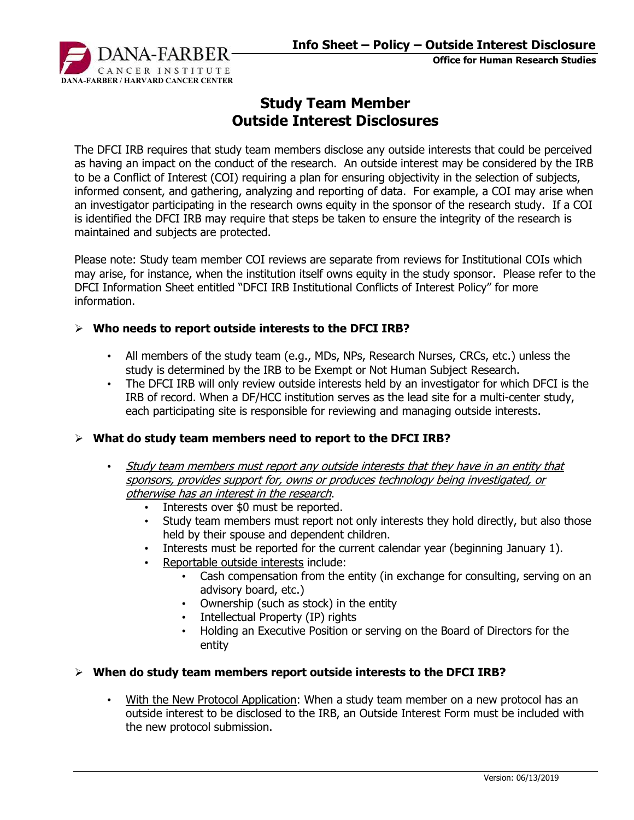

Office for Human Research Studies

# Study Team Member Outside Interest Disclosures

The DFCI IRB requires that study team members disclose any outside interests that could be perceived as having an impact on the conduct of the research. An outside interest may be considered by the IRB to be a Conflict of Interest (COI) requiring a plan for ensuring objectivity in the selection of subjects, informed consent, and gathering, analyzing and reporting of data. For example, a COI may arise when an investigator participating in the research owns equity in the sponsor of the research study. If a COI is identified the DFCI IRB may require that steps be taken to ensure the integrity of the research is maintained and subjects are protected.

Please note: Study team member COI reviews are separate from reviews for Institutional COIs which may arise, for instance, when the institution itself owns equity in the study sponsor. Please refer to the DFCI Information Sheet entitled "DFCI IRB Institutional Conflicts of Interest Policy" for more information.

#### $\triangleright$  Who needs to report outside interests to the DFCI IRB?

- All members of the study team (e.g., MDs, NPs, Research Nurses, CRCs, etc.) unless the study is determined by the IRB to be Exempt or Not Human Subject Research.
- The DFCI IRB will only review outside interests held by an investigator for which DFCI is the IRB of record. When a DF/HCC institution serves as the lead site for a multi-center study, each participating site is responsible for reviewing and managing outside interests.

### $\triangleright$  What do study team members need to report to the DFCI IRB?

- Study team members must report any outside interests that they have in an entity that sponsors, provides support for, owns or produces technology being investigated, or otherwise has an interest in the research.
	- Interests over \$0 must be reported.
	- Study team members must report not only interests they hold directly, but also those held by their spouse and dependent children.
	- Interests must be reported for the current calendar year (beginning January 1).
	- Reportable outside interests include:
		- Cash compensation from the entity (in exchange for consulting, serving on an advisory board, etc.)
		- Ownership (such as stock) in the entity
		- Intellectual Property (IP) rights
		- Holding an Executive Position or serving on the Board of Directors for the entity

#### $\triangleright$  When do study team members report outside interests to the DFCI IRB?

• With the New Protocol Application: When a study team member on a new protocol has an outside interest to be disclosed to the IRB, an Outside Interest Form must be included with the new protocol submission.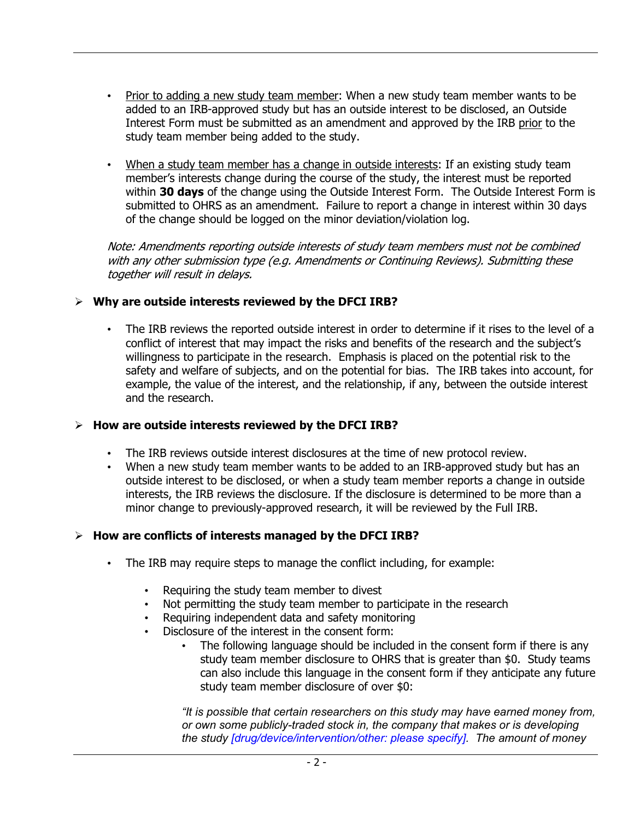- Prior to adding a new study team member: When a new study team member wants to be added to an IRB-approved study but has an outside interest to be disclosed, an Outside Interest Form must be submitted as an amendment and approved by the IRB prior to the study team member being added to the study.
- When a study team member has a change in outside interests: If an existing study team member's interests change during the course of the study, the interest must be reported within 30 days of the change using the Outside Interest Form. The Outside Interest Form is submitted to OHRS as an amendment. Failure to report a change in interest within 30 days of the change should be logged on the minor deviation/violation log.

Note: Amendments reporting outside interests of study team members must not be combined with any other submission type (e.g. Amendments or Continuing Reviews). Submitting these together will result in delays.

## $\triangleright$  Why are outside interests reviewed by the DFCI IRB?

The IRB reviews the reported outside interest in order to determine if it rises to the level of a conflict of interest that may impact the risks and benefits of the research and the subject's willingness to participate in the research. Emphasis is placed on the potential risk to the safety and welfare of subjects, and on the potential for bias. The IRB takes into account, for example, the value of the interest, and the relationship, if any, between the outside interest and the research.

### $\triangleright$  How are outside interests reviewed by the DFCI IRB?

- The IRB reviews outside interest disclosures at the time of new protocol review.
- When a new study team member wants to be added to an IRB-approved study but has an outside interest to be disclosed, or when a study team member reports a change in outside interests, the IRB reviews the disclosure. If the disclosure is determined to be more than a minor change to previously-approved research, it will be reviewed by the Full IRB.

# $\triangleright$  How are conflicts of interests managed by the DFCI IRB?

- The IRB may require steps to manage the conflict including, for example:
	- Requiring the study team member to divest
	- Not permitting the study team member to participate in the research
	- Requiring independent data and safety monitoring
	- Disclosure of the interest in the consent form:
		- The following language should be included in the consent form if there is any study team member disclosure to OHRS that is greater than \$0. Study teams can also include this language in the consent form if they anticipate any future study team member disclosure of over \$0:

"It is possible that certain researchers on this study may have earned money from, or own some publicly-traded stock in, the company that makes or is developing the study [drug/device/intervention/other: please specify]. The amount of money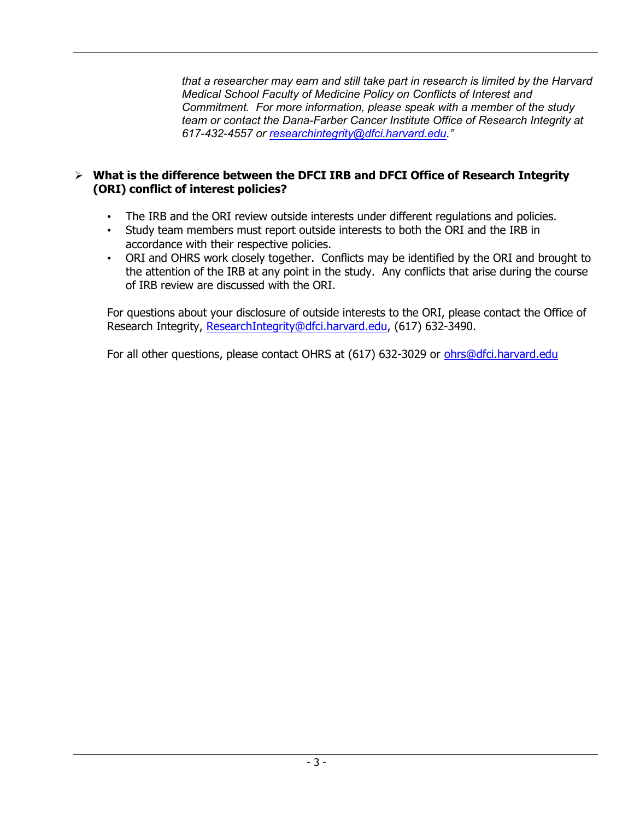that a researcher may earn and still take part in research is limited by the Harvard Medical School Faculty of Medicine Policy on Conflicts of Interest and Commitment. For more information, please speak with a member of the study team or contact the Dana-Farber Cancer Institute Office of Research Integrity at 617-432-4557 or researchintegrity@dfci.harvard.edu."

# $\triangleright$  What is the difference between the DFCI IRB and DFCI Office of Research Integrity (ORI) conflict of interest policies?

- The IRB and the ORI review outside interests under different regulations and policies.
- Study team members must report outside interests to both the ORI and the IRB in accordance with their respective policies.
- ORI and OHRS work closely together. Conflicts may be identified by the ORI and brought to the attention of the IRB at any point in the study. Any conflicts that arise during the course of IRB review are discussed with the ORI.

For questions about your disclosure of outside interests to the ORI, please contact the Office of Research Integrity, ResearchIntegrity@dfci.harvard.edu, (617) 632-3490.

For all other questions, please contact OHRS at (617) 632-3029 or ohrs@dfci.harvard.edu